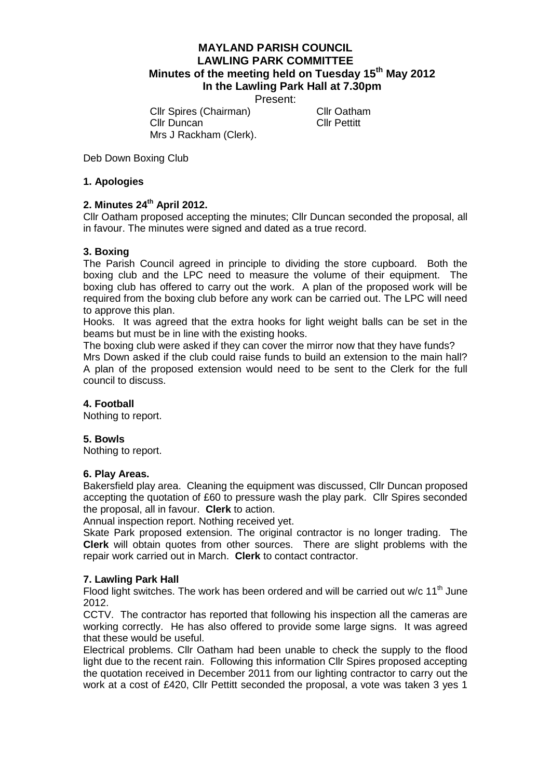# **MAYLAND PARISH COUNCIL LAWLING PARK COMMITTEE Minutes of the meeting held on Tuesday 15th May 2012 In the Lawling Park Hall at 7.30pm**

Present:

Cllr Spires (Chairman) Cllr Oatham Cllr Duncan Cllr Pettitt Mrs J Rackham (Clerk).

Deb Down Boxing Club

## **1. Apologies**

## **2. Minutes 24th April 2012.**

Cllr Oatham proposed accepting the minutes; Cllr Duncan seconded the proposal, all in favour. The minutes were signed and dated as a true record.

## **3. Boxing**

The Parish Council agreed in principle to dividing the store cupboard. Both the boxing club and the LPC need to measure the volume of their equipment. The boxing club has offered to carry out the work. A plan of the proposed work will be required from the boxing club before any work can be carried out. The LPC will need to approve this plan.

Hooks. It was agreed that the extra hooks for light weight balls can be set in the beams but must be in line with the existing hooks.

The boxing club were asked if they can cover the mirror now that they have funds? Mrs Down asked if the club could raise funds to build an extension to the main hall? A plan of the proposed extension would need to be sent to the Clerk for the full council to discuss.

### **4. Football**

Nothing to report.

### **5. Bowls**

Nothing to report.

### **6. Play Areas.**

Bakersfield play area. Cleaning the equipment was discussed, Cllr Duncan proposed accepting the quotation of £60 to pressure wash the play park. Cllr Spires seconded the proposal, all in favour. **Clerk** to action.

Annual inspection report. Nothing received yet.

Skate Park proposed extension. The original contractor is no longer trading. The **Clerk** will obtain quotes from other sources. There are slight problems with the repair work carried out in March. **Clerk** to contact contractor.

### **7. Lawling Park Hall**

Flood light switches. The work has been ordered and will be carried out w/c 11<sup>th</sup> June 2012.

CCTV. The contractor has reported that following his inspection all the cameras are working correctly. He has also offered to provide some large signs. It was agreed that these would be useful.

Electrical problems. Cllr Oatham had been unable to check the supply to the flood light due to the recent rain. Following this information Cllr Spires proposed accepting the quotation received in December 2011 from our lighting contractor to carry out the work at a cost of £420, Cllr Pettitt seconded the proposal, a vote was taken 3 yes 1